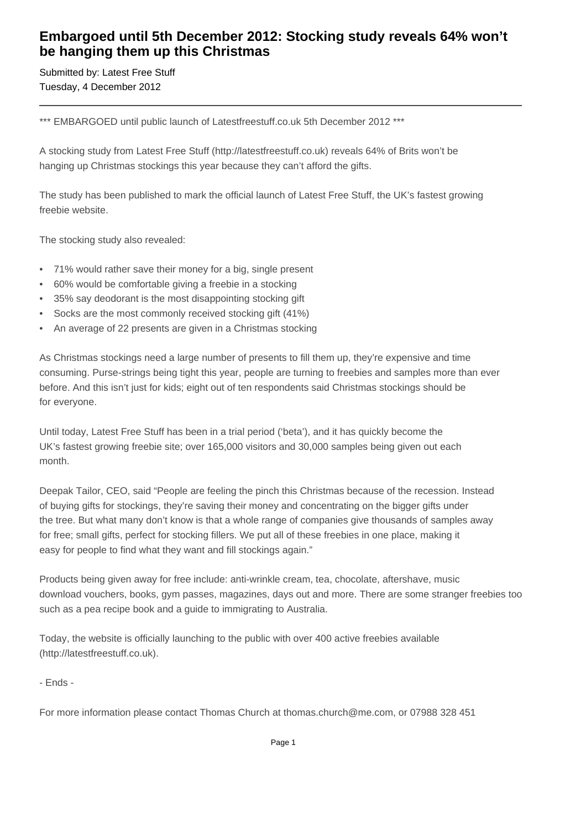## **Embargoed until 5th December 2012: Stocking study reveals 64% won't be hanging them up this Christmas**

Submitted by: Latest Free Stuff Tuesday, 4 December 2012

\*\*\* EMBARGOED until public launch of Latestfreestuff.co.uk 5th December 2012 \*\*\*

A stocking study from Latest Free Stuff (http://latestfreestuff.co.uk) reveals 64% of Brits won't be hanging up Christmas stockings this year because they can't afford the gifts.

The study has been published to mark the official launch of Latest Free Stuff, the UK's fastest growing freebie website.

The stocking study also revealed:

- • 71% would rather save their money for a big, single present
- • 60% would be comfortable giving a freebie in a stocking
- 35% say deodorant is the most disappointing stocking gift
- Socks are the most commonly received stocking gift (41%)
- An average of 22 presents are given in a Christmas stocking

As Christmas stockings need a large number of presents to fill them up, they're expensive and time consuming. Purse-strings being tight this year, people are turning to freebies and samples more than ever before. And this isn't just for kids; eight out of ten respondents said Christmas stockings should be for everyone.

Until today, Latest Free Stuff has been in a trial period ('beta'), and it has quickly become the UK's fastest growing freebie site; over 165,000 visitors and 30,000 samples being given out each month.

Deepak Tailor, CEO, said "People are feeling the pinch this Christmas because of the recession. Instead of buying gifts for stockings, they're saving their money and concentrating on the bigger gifts under the tree. But what many don't know is that a whole range of companies give thousands of samples away for free; small gifts, perfect for stocking fillers. We put all of these freebies in one place, making it easy for people to find what they want and fill stockings again."

Products being given away for free include: anti-wrinkle cream, tea, chocolate, aftershave, music download vouchers, books, gym passes, magazines, days out and more. There are some stranger freebies too such as a pea recipe book and a guide to immigrating to Australia.

Today, the website is officially launching to the public with over 400 active freebies available (http://latestfreestuff.co.uk).

- Ends -

For more information please contact Thomas Church at thomas.church@me.com, or 07988 328 451